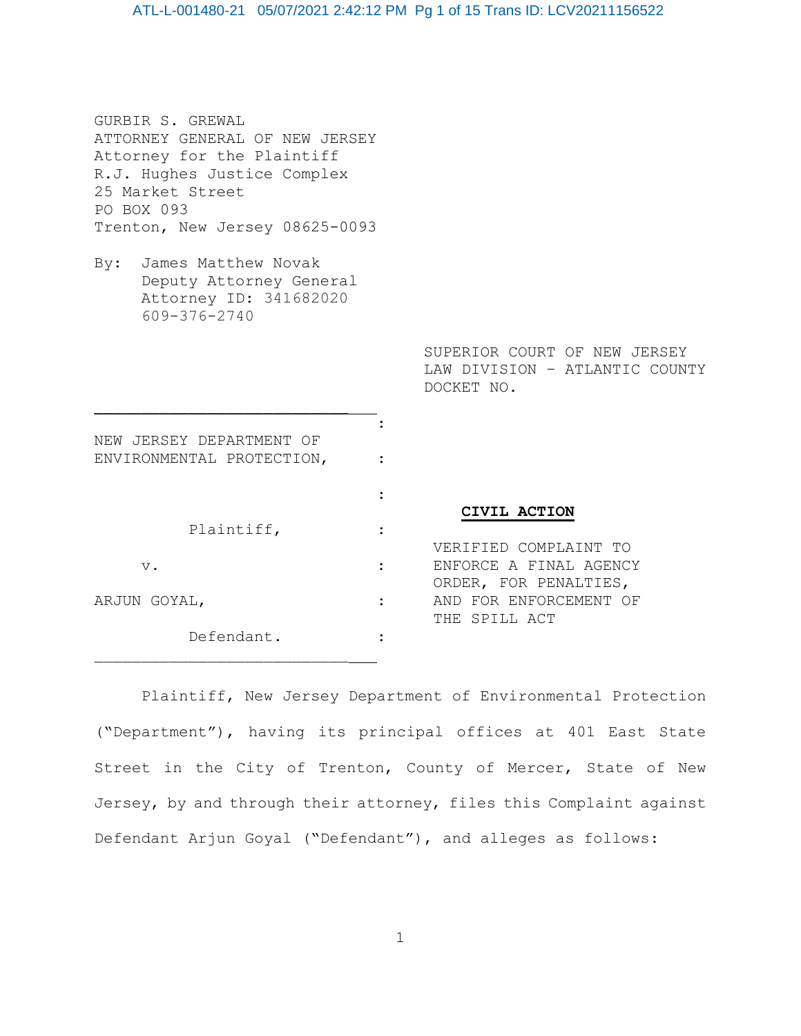## ATL-L-001480-21 05/07/2021 2:42:12 PM Pg 1 of 15 Trans ID: LCV20211156522

| GURBIR S. GREWAL<br>ATTORNEY GENERAL OF NEW JERSEY<br>Attorney for the Plaintiff<br>R.J. Hughes Justice Complex<br>25 Market Street<br>PO BOX 093<br>Trenton, New Jersey 08625-0093 |                                                                            |
|-------------------------------------------------------------------------------------------------------------------------------------------------------------------------------------|----------------------------------------------------------------------------|
| By: James Matthew Novak<br>Deputy Attorney General<br>Attorney ID: 341682020<br>609-376-2740                                                                                        |                                                                            |
|                                                                                                                                                                                     | SUPERIOR COURT OF NEW JERSEY<br>LAW DIVISION - ATLANTIC COUN<br>DOCKET NO. |
| NEW JERSEY DEPARTMENT OF<br>ENVIRONMENTAL PROTECTION,                                                                                                                               |                                                                            |
| Plaintiff,<br>$V$ .                                                                                                                                                                 | CIVIL ACTION<br>VERIFIED COMPLAINT TO<br>ENFORCE A FINAL AGENCY            |

ARJUN GOYAL,  $\qquad \qquad : \qquad \qquad$  AND FOR ENFORCEMENT OF Defendant. :

 ORDER, FOR PENALTIES, THE SPILL ACT

COUNTY

Plaintiff, New Jersey Department of Environmental Protection ("Department"), having its principal offices at 401 East State Street in the City of Trenton, County of Mercer, State of New Jersey, by and through their attorney, files this Complaint against Defendant Arjun Goyal ("Defendant"), and alleges as follows: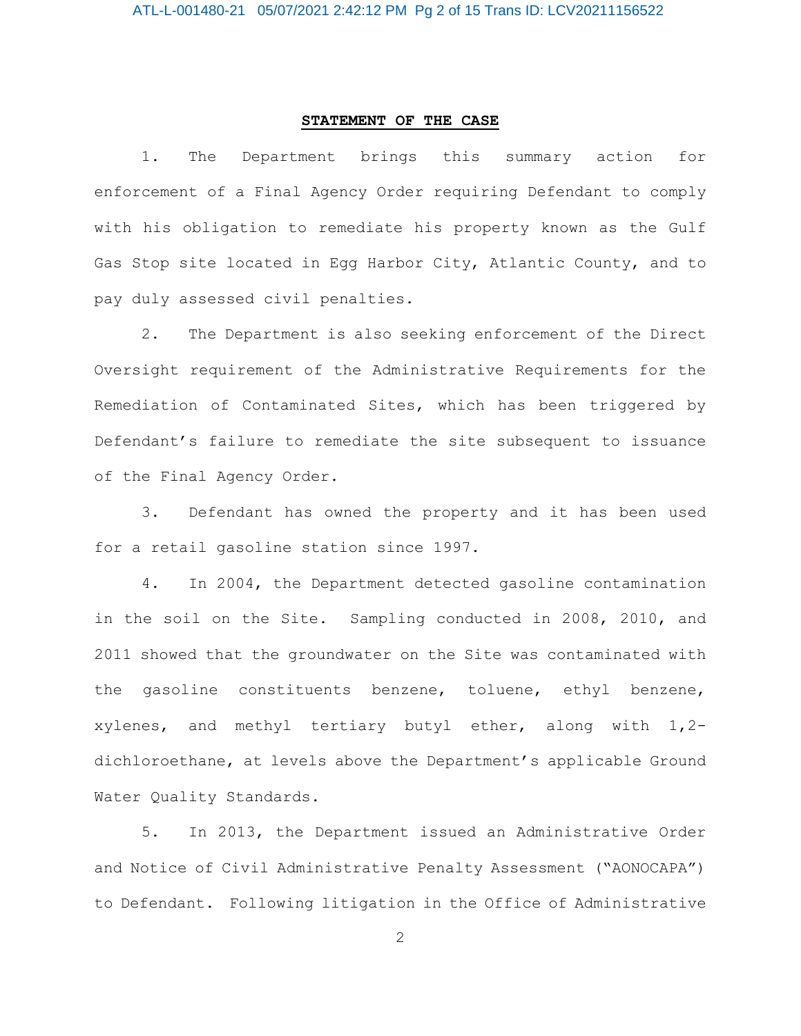### **STATEMENT OF THE CASE**

1. The Department brings this summary action for enforcement of a Final Agency Order requiring Defendant to comply with his obligation to remediate his property known as the Gulf Gas Stop site located in Egg Harbor City, Atlantic County, and to pay duly assessed civil penalties.

2. The Department is also seeking enforcement of the Direct Oversight requirement of the Administrative Requirements for the Remediation of Contaminated Sites, which has been triggered by Defendant's failure to remediate the site subsequent to issuance of the Final Agency Order.

3. Defendant has owned the property and it has been used for a retail gasoline station since 1997.

4. In 2004, the Department detected gasoline contamination in the soil on the Site. Sampling conducted in 2008, 2010, and 2011 showed that the groundwater on the Site was contaminated with the gasoline constituents benzene, toluene, ethyl benzene, xylenes, and methyl tertiary butyl ether, along with 1,2 dichloroethane, at levels above the Department's applicable Ground Water Quality Standards.

5. In 2013, the Department issued an Administrative Order and Notice of Civil Administrative Penalty Assessment ("AONOCAPA") to Defendant. Following litigation in the Office of Administrative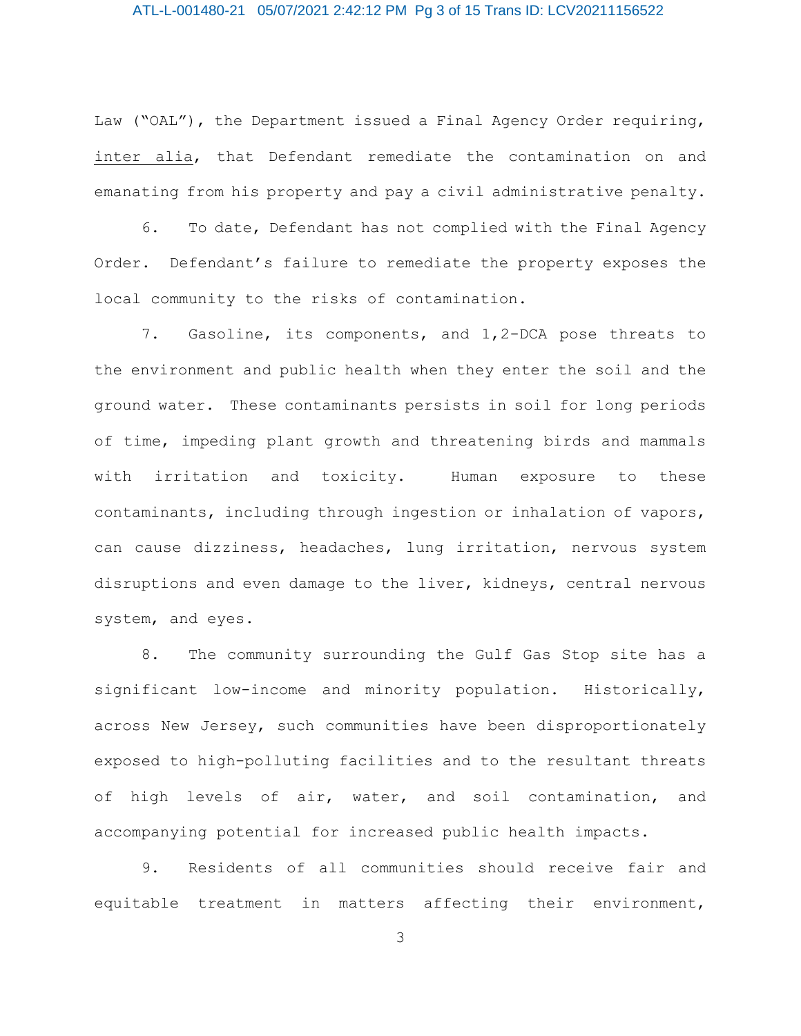## ATL-L-001480-21 05/07/2021 2:42:12 PM Pg 3 of 15 Trans ID: LCV20211156522

Law ("OAL"), the Department issued a Final Agency Order requiring, inter alia, that Defendant remediate the contamination on and emanating from his property and pay a civil administrative penalty.

6. To date, Defendant has not complied with the Final Agency Order. Defendant's failure to remediate the property exposes the local community to the risks of contamination.

7. Gasoline, its components, and 1,2-DCA pose threats to the environment and public health when they enter the soil and the ground water. These contaminants persists in soil for long periods of time, impeding plant growth and threatening birds and mammals with irritation and toxicity. Human exposure to these contaminants, including through ingestion or inhalation of vapors, can cause dizziness, headaches, lung irritation, nervous system disruptions and even damage to the liver, kidneys, central nervous system, and eyes.

8. The community surrounding the Gulf Gas Stop site has a significant low-income and minority population. Historically, across New Jersey, such communities have been disproportionately exposed to high-polluting facilities and to the resultant threats of high levels of air, water, and soil contamination, and accompanying potential for increased public health impacts.

9. Residents of all communities should receive fair and equitable treatment in matters affecting their environment,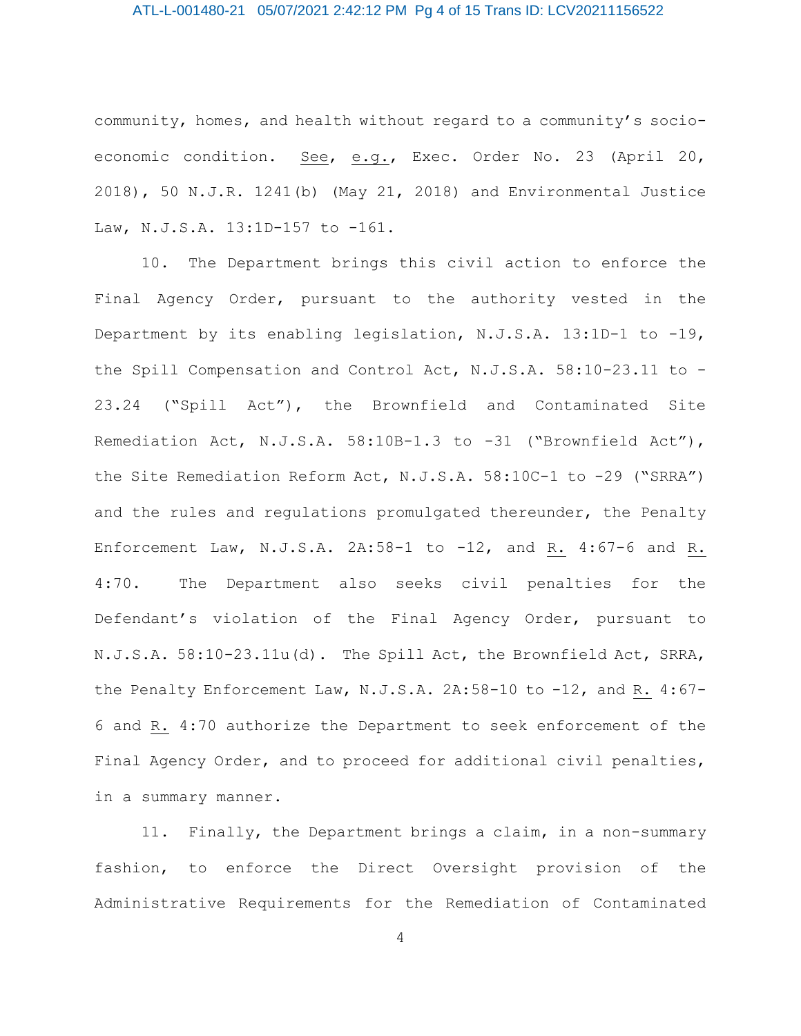## ATL-L-001480-21 05/07/2021 2:42:12 PM Pg 4 of 15 Trans ID: LCV20211156522

community, homes, and health without regard to a community's socioeconomic condition. See, e.g., Exec. Order No. 23 (April 20, 2018), 50 N.J.R. 1241(b) (May 21, 2018) and Environmental Justice Law, N.J.S.A. 13:1D-157 to -161.

10. The Department brings this civil action to enforce the Final Agency Order, pursuant to the authority vested in the Department by its enabling legislation, N.J.S.A. 13:1D-1 to -19, the Spill Compensation and Control Act, N.J.S.A. 58:10-23.11 to - 23.24 ("Spill Act"), the Brownfield and Contaminated Site Remediation Act, N.J.S.A. 58:10B-1.3 to -31 ("Brownfield Act"), the Site Remediation Reform Act, N.J.S.A. 58:10C-1 to -29 ("SRRA") and the rules and regulations promulgated thereunder, the Penalty Enforcement Law, N.J.S.A. 2A:58-1 to -12, and R. 4:67-6 and R. 4:70. The Department also seeks civil penalties for the Defendant's violation of the Final Agency Order, pursuant to N.J.S.A. 58:10-23.11u(d). The Spill Act, the Brownfield Act, SRRA, the Penalty Enforcement Law, N.J.S.A. 2A:58-10 to -12, and R. 4:67-6 and R. 4:70 authorize the Department to seek enforcement of the Final Agency Order, and to proceed for additional civil penalties, in a summary manner.

11. Finally, the Department brings a claim, in a non-summary fashion, to enforce the Direct Oversight provision of the Administrative Requirements for the Remediation of Contaminated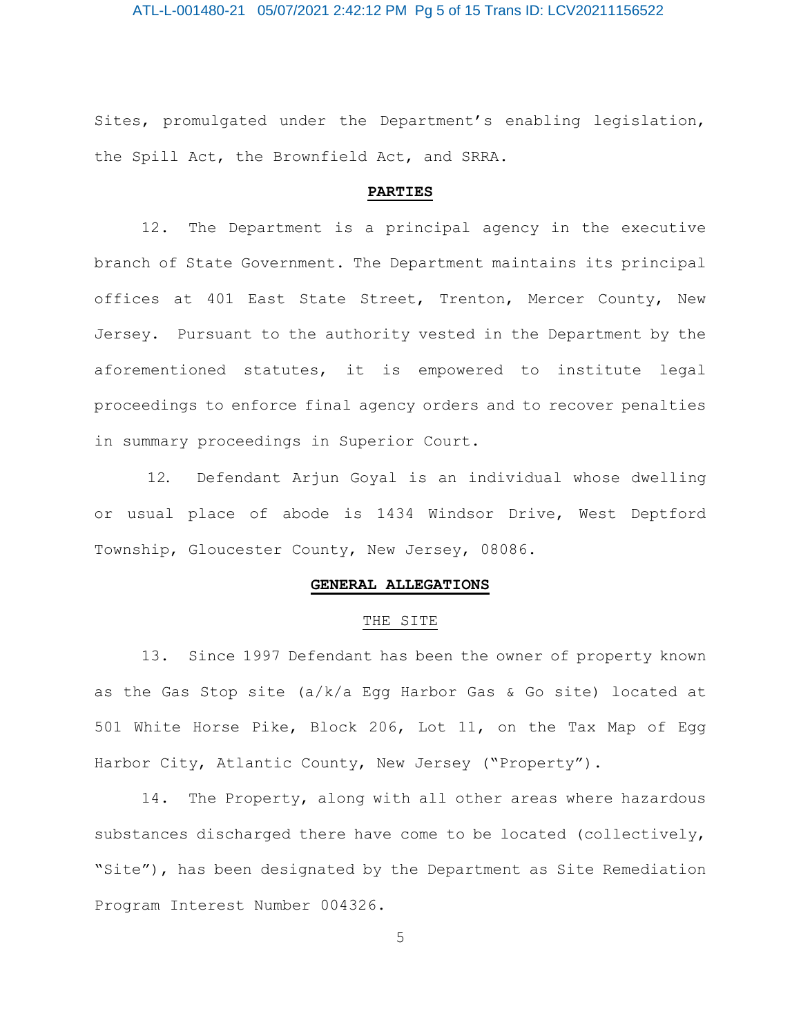ATL-L-001480-21 05/07/2021 2:42:12 PM Pg 5 of 15 Trans ID: LCV20211156522

Sites, promulgated under the Department's enabling legislation, the Spill Act, the Brownfield Act, and SRRA.

#### **PARTIES**

12. The Department is a principal agency in the executive branch of State Government. The Department maintains its principal offices at 401 East State Street, Trenton, Mercer County, New Jersey. Pursuant to the authority vested in the Department by the aforementioned statutes, it is empowered to institute legal proceedings to enforce final agency orders and to recover penalties in summary proceedings in Superior Court.

12. Defendant Arjun Goyal is an individual whose dwelling or usual place of abode is 1434 Windsor Drive, West Deptford Township, Gloucester County, New Jersey, 08086.

## **GENERAL ALLEGATIONS**

## THE SITE

13. Since 1997 Defendant has been the owner of property known as the Gas Stop site (a/k/a Egg Harbor Gas & Go site) located at 501 White Horse Pike, Block 206, Lot 11, on the Tax Map of Egg Harbor City, Atlantic County, New Jersey ("Property").

14. The Property, along with all other areas where hazardous substances discharged there have come to be located (collectively, "Site"), has been designated by the Department as Site Remediation Program Interest Number 004326.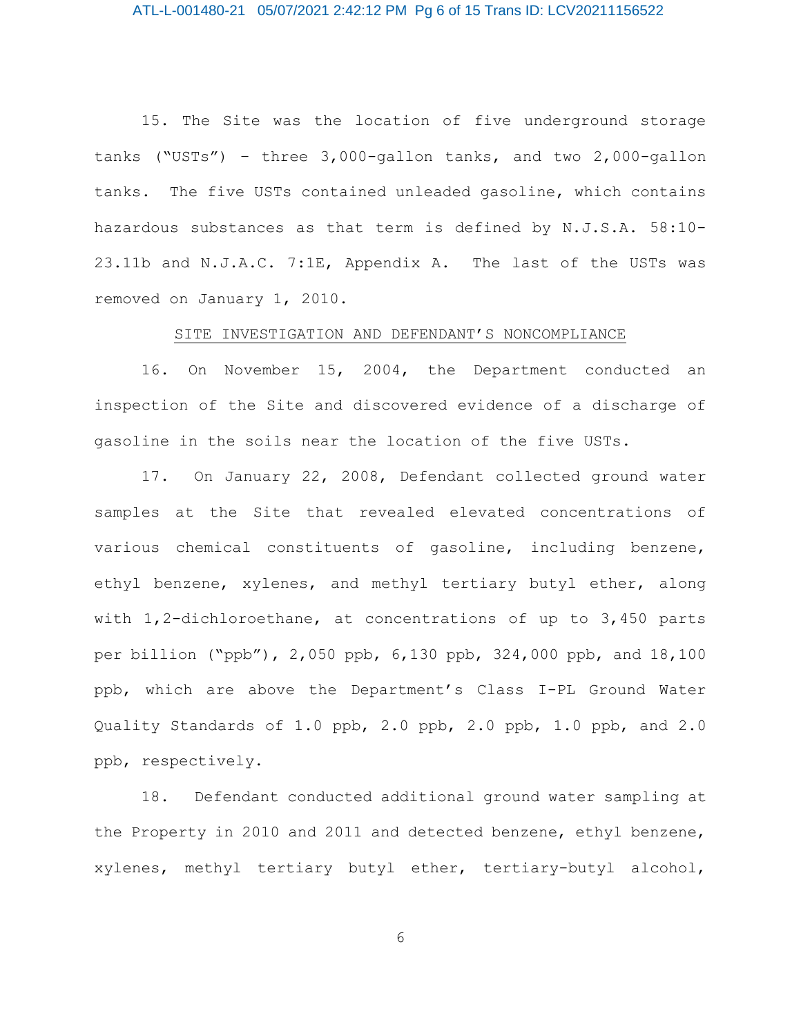## ATL-L-001480-21 05/07/2021 2:42:12 PM Pg 6 of 15 Trans ID: LCV20211156522

15. The Site was the location of five underground storage tanks ("USTs") – three 3,000-gallon tanks, and two 2,000-gallon tanks. The five USTs contained unleaded gasoline, which contains hazardous substances as that term is defined by N.J.S.A. 58:10- 23.11b and N.J.A.C. 7:1E, Appendix A. The last of the USTs was removed on January 1, 2010.

## SITE INVESTIGATION AND DEFENDANT'S NONCOMPLIANCE

16. On November 15, 2004, the Department conducted an inspection of the Site and discovered evidence of a discharge of gasoline in the soils near the location of the five USTs.

17. On January 22, 2008, Defendant collected ground water samples at the Site that revealed elevated concentrations of various chemical constituents of gasoline, including benzene, ethyl benzene, xylenes, and methyl tertiary butyl ether, along with 1,2-dichloroethane, at concentrations of up to 3,450 parts per billion ("ppb"), 2,050 ppb, 6,130 ppb, 324,000 ppb, and 18,100 ppb, which are above the Department's Class I-PL Ground Water Quality Standards of 1.0 ppb, 2.0 ppb, 2.0 ppb, 1.0 ppb, and 2.0 ppb, respectively.

18. Defendant conducted additional ground water sampling at the Property in 2010 and 2011 and detected benzene, ethyl benzene, xylenes, methyl tertiary butyl ether, tertiary-butyl alcohol,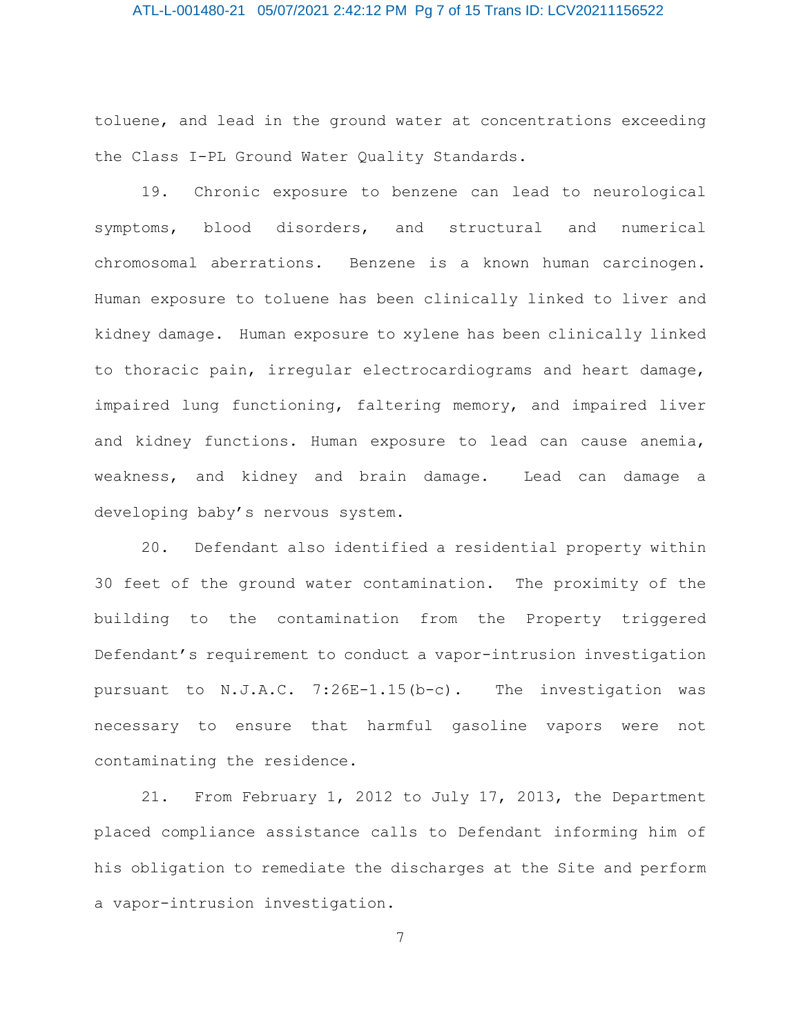## ATL-L-001480-21 05/07/2021 2:42:12 PM Pg 7 of 15 Trans ID: LCV20211156522

toluene, and lead in the ground water at concentrations exceeding the Class I-PL Ground Water Quality Standards.

19. Chronic exposure to benzene can lead to neurological symptoms, blood disorders, and structural and numerical chromosomal aberrations. Benzene is a known human carcinogen. Human exposure to toluene has been clinically linked to liver and kidney damage. Human exposure to xylene has been clinically linked to thoracic pain, irregular electrocardiograms and heart damage, impaired lung functioning, faltering memory, and impaired liver and kidney functions. Human exposure to lead can cause anemia, weakness, and kidney and brain damage. Lead can damage a developing baby's nervous system.

20. Defendant also identified a residential property within 30 feet of the ground water contamination. The proximity of the building to the contamination from the Property triggered Defendant's requirement to conduct a vapor-intrusion investigation pursuant to N.J.A.C. 7:26E-1.15(b-c). The investigation was necessary to ensure that harmful gasoline vapors were not contaminating the residence.

21. From February 1, 2012 to July 17, 2013, the Department placed compliance assistance calls to Defendant informing him of his obligation to remediate the discharges at the Site and perform a vapor-intrusion investigation.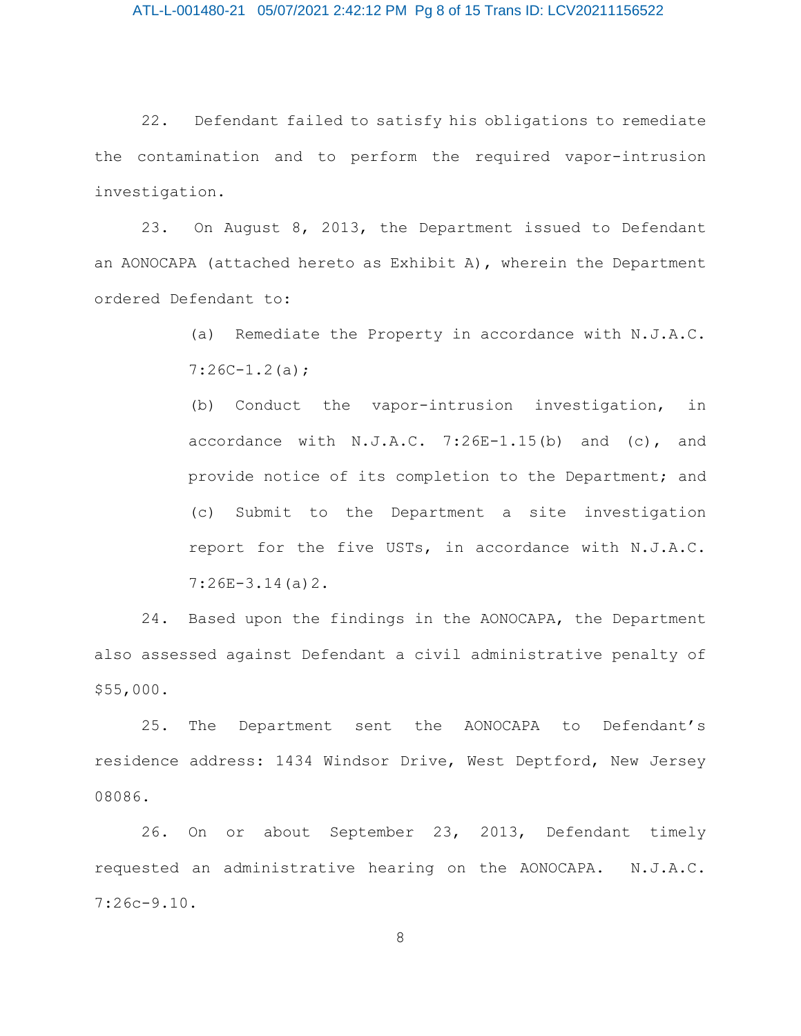22. Defendant failed to satisfy his obligations to remediate the contamination and to perform the required vapor-intrusion investigation.

23. On August 8, 2013, the Department issued to Defendant an AONOCAPA (attached hereto as Exhibit A), wherein the Department ordered Defendant to:

> (a) Remediate the Property in accordance with N.J.A.C.  $7:26C-1.2(a);$

> (b) Conduct the vapor-intrusion investigation, in accordance with  $N.J.A.C. 7:26E-1.15(b)$  and  $(c)$ , and provide notice of its completion to the Department; and (c) Submit to the Department a site investigation report for the five USTs, in accordance with N.J.A.C. 7:26E-3.14(a)2.

24. Based upon the findings in the AONOCAPA, the Department also assessed against Defendant a civil administrative penalty of \$55,000.

25. The Department sent the AONOCAPA to Defendant's residence address: 1434 Windsor Drive, West Deptford, New Jersey 08086.

26. On or about September 23, 2013, Defendant timely requested an administrative hearing on the AONOCAPA. N.J.A.C. 7:26c-9.10.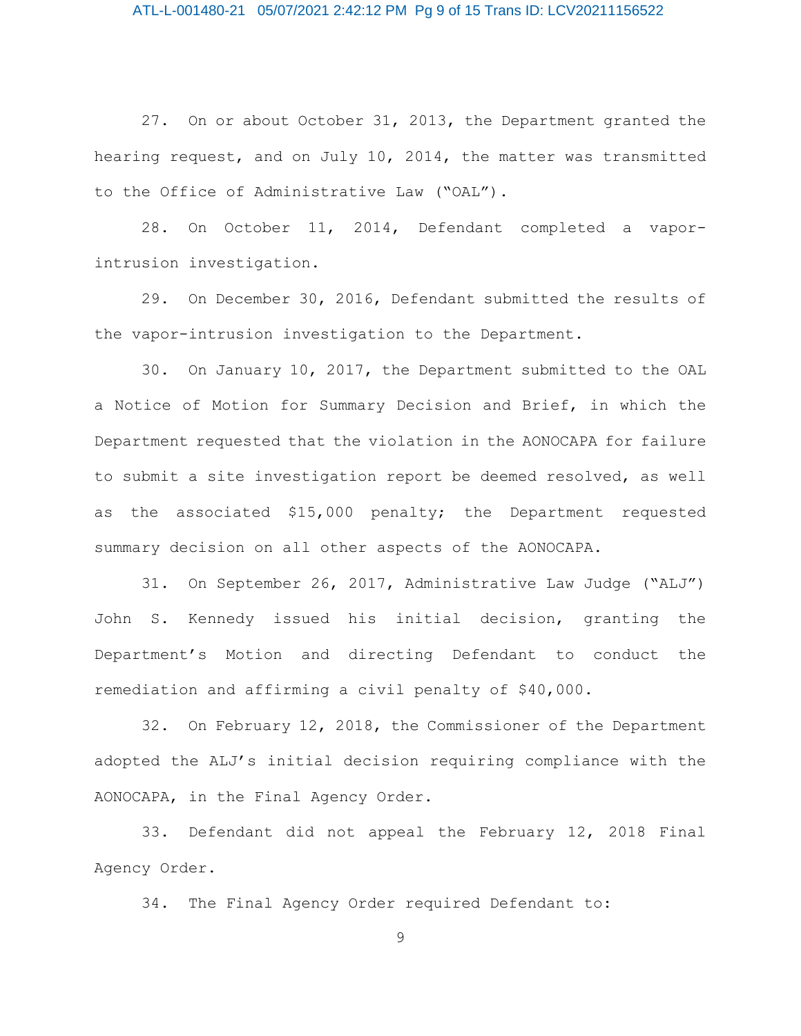27. On or about October 31, 2013, the Department granted the hearing request, and on July 10, 2014, the matter was transmitted to the Office of Administrative Law ("OAL").

28. On October 11, 2014, Defendant completed a vaporintrusion investigation.

29. On December 30, 2016, Defendant submitted the results of the vapor-intrusion investigation to the Department.

30. On January 10, 2017, the Department submitted to the OAL a Notice of Motion for Summary Decision and Brief, in which the Department requested that the violation in the AONOCAPA for failure to submit a site investigation report be deemed resolved, as well as the associated \$15,000 penalty; the Department requested summary decision on all other aspects of the AONOCAPA.

31. On September 26, 2017, Administrative Law Judge ("ALJ") John S. Kennedy issued his initial decision, granting the Department's Motion and directing Defendant to conduct the remediation and affirming a civil penalty of \$40,000.

32. On February 12, 2018, the Commissioner of the Department adopted the ALJ's initial decision requiring compliance with the AONOCAPA, in the Final Agency Order.

33. Defendant did not appeal the February 12, 2018 Final Agency Order.

34. The Final Agency Order required Defendant to: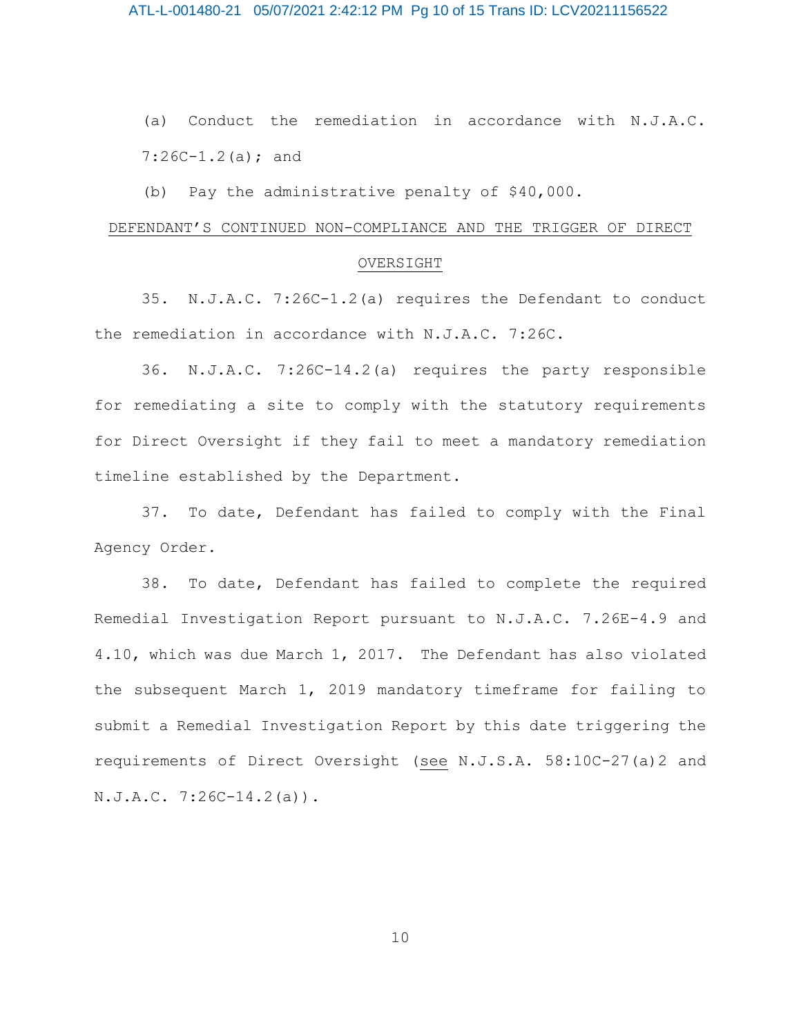(a) Conduct the remediation in accordance with N.J.A.C.  $7:26C-1.2(a)$ ; and

(b) Pay the administrative penalty of \$40,000.

#### DEFENDANT'S CONTINUED NON-COMPLIANCE AND THE TRIGGER OF DIRECT

### OVERSIGHT

35. N.J.A.C. 7:26C-1.2(a) requires the Defendant to conduct the remediation in accordance with N.J.A.C. 7:26C.

36. N.J.A.C. 7:26C-14.2(a) requires the party responsible for remediating a site to comply with the statutory requirements for Direct Oversight if they fail to meet a mandatory remediation timeline established by the Department.

37. To date, Defendant has failed to comply with the Final Agency Order.

38. To date, Defendant has failed to complete the required Remedial Investigation Report pursuant to N.J.A.C. 7.26E-4.9 and 4.10, which was due March 1, 2017. The Defendant has also violated the subsequent March 1, 2019 mandatory timeframe for failing to submit a Remedial Investigation Report by this date triggering the requirements of Direct Oversight (see N.J.S.A. 58:10C-27(a)2 and N.J.A.C. 7:26C-14.2(a)).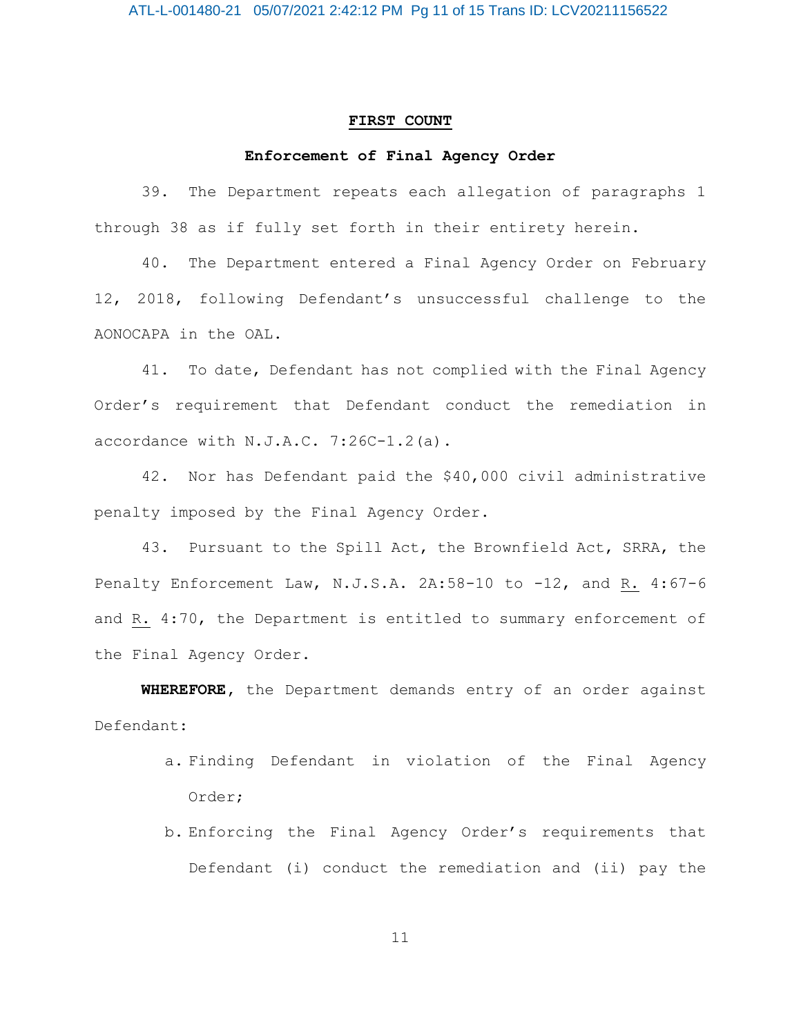#### **FIRST COUNT**

### **Enforcement of Final Agency Order**

39. The Department repeats each allegation of paragraphs 1 through 38 as if fully set forth in their entirety herein.

40. The Department entered a Final Agency Order on February 12, 2018, following Defendant's unsuccessful challenge to the AONOCAPA in the OAL.

41. To date, Defendant has not complied with the Final Agency Order's requirement that Defendant conduct the remediation in accordance with N.J.A.C. 7:26C-1.2(a).

42. Nor has Defendant paid the \$40,000 civil administrative penalty imposed by the Final Agency Order.

43. Pursuant to the Spill Act, the Brownfield Act, SRRA, the Penalty Enforcement Law, N.J.S.A. 2A:58-10 to -12, and R. 4:67-6 and R. 4:70, the Department is entitled to summary enforcement of the Final Agency Order.

**WHEREFORE,** the Department demands entry of an order against Defendant:

- a. Finding Defendant in violation of the Final Agency Order;
- b. Enforcing the Final Agency Order's requirements that Defendant (i) conduct the remediation and (ii) pay the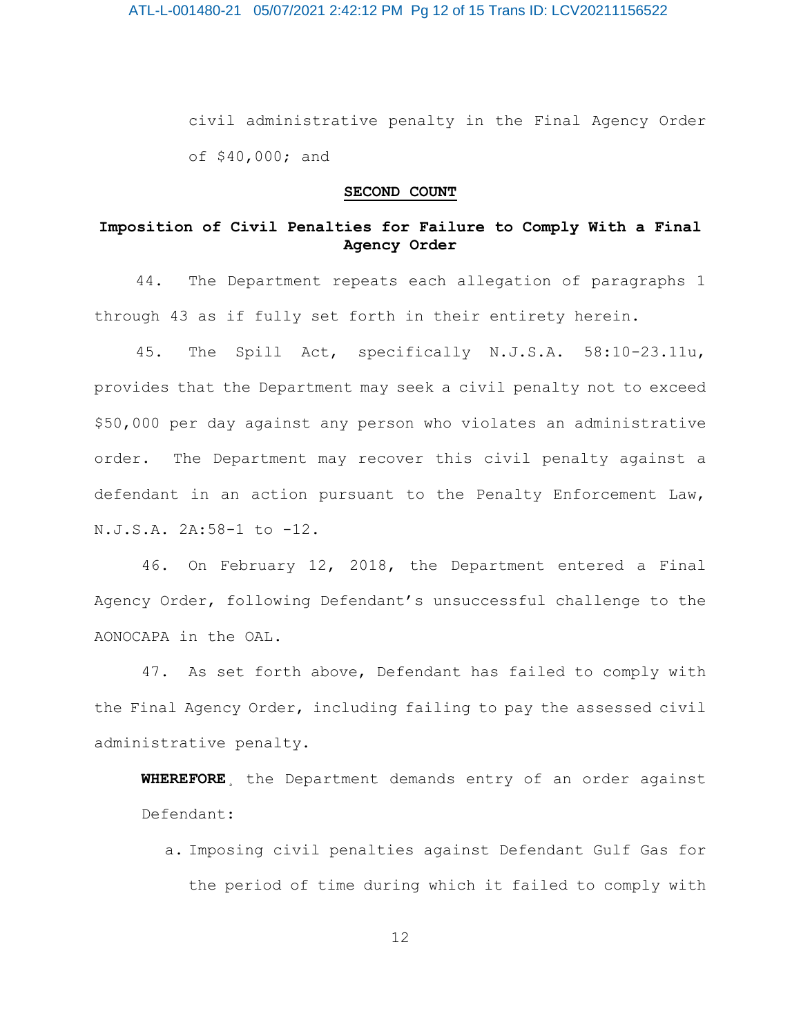civil administrative penalty in the Final Agency Order of \$40,000; and

## **SECOND COUNT**

## **Imposition of Civil Penalties for Failure to Comply With a Final Agency Order**

44. The Department repeats each allegation of paragraphs 1 through 43 as if fully set forth in their entirety herein.

45. The Spill Act, specifically N.J.S.A. 58:10-23.11u, provides that the Department may seek a civil penalty not to exceed \$50,000 per day against any person who violates an administrative order. The Department may recover this civil penalty against a defendant in an action pursuant to the Penalty Enforcement Law, N.J.S.A. 2A:58-1 to -12.

46. On February 12, 2018, the Department entered a Final Agency Order, following Defendant's unsuccessful challenge to the AONOCAPA in the OAL.

47. As set forth above, Defendant has failed to comply with the Final Agency Order, including failing to pay the assessed civil administrative penalty.

**WHEREFORE**¸ the Department demands entry of an order against Defendant:

a. Imposing civil penalties against Defendant Gulf Gas for the period of time during which it failed to comply with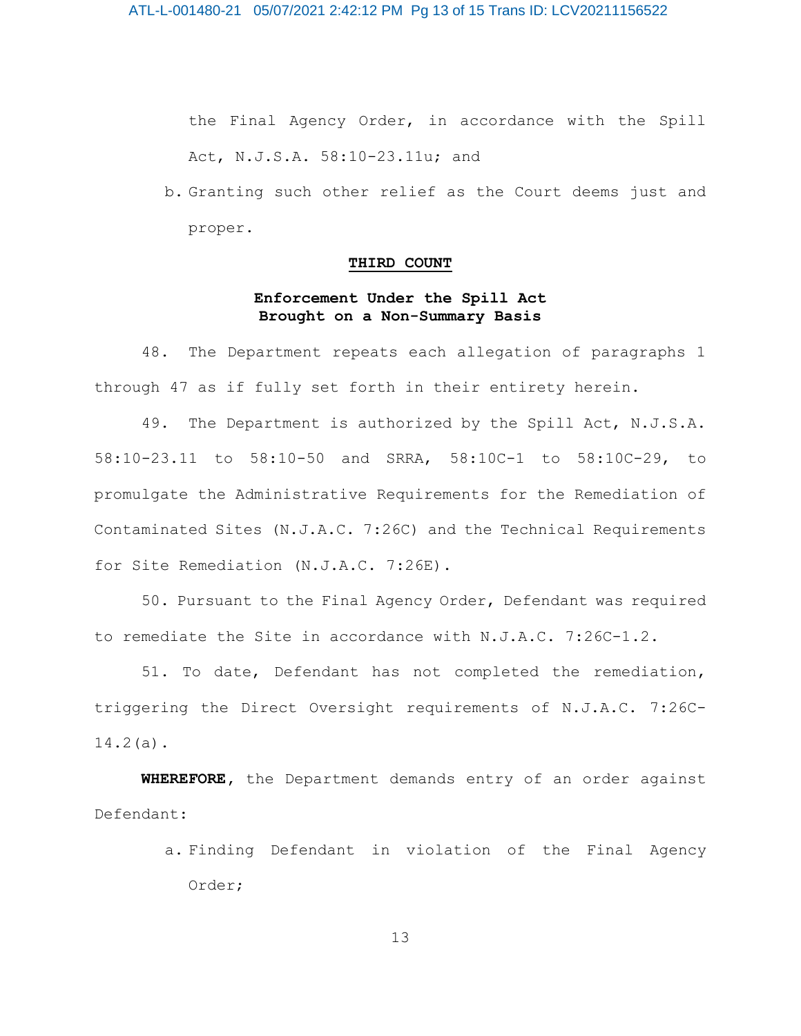the Final Agency Order, in accordance with the Spill Act, N.J.S.A. 58:10-23.11u; and

b. Granting such other relief as the Court deems just and proper.

#### **THIRD COUNT**

## **Enforcement Under the Spill Act Brought on a Non-Summary Basis**

48. The Department repeats each allegation of paragraphs 1 through 47 as if fully set forth in their entirety herein.

49. The Department is authorized by the Spill Act, N.J.S.A. 58:10-23.11 to 58:10-50 and SRRA, 58:10C-1 to 58:10C-29, to promulgate the Administrative Requirements for the Remediation of Contaminated Sites (N.J.A.C. 7:26C) and the Technical Requirements for Site Remediation (N.J.A.C. 7:26E).

50. Pursuant to the Final Agency Order, Defendant was required to remediate the Site in accordance with N.J.A.C. 7:26C-1.2.

51. To date, Defendant has not completed the remediation, triggering the Direct Oversight requirements of N.J.A.C. 7:26C-14.2(a).

**WHEREFORE,** the Department demands entry of an order against Defendant:

> a. Finding Defendant in violation of the Final Agency Order;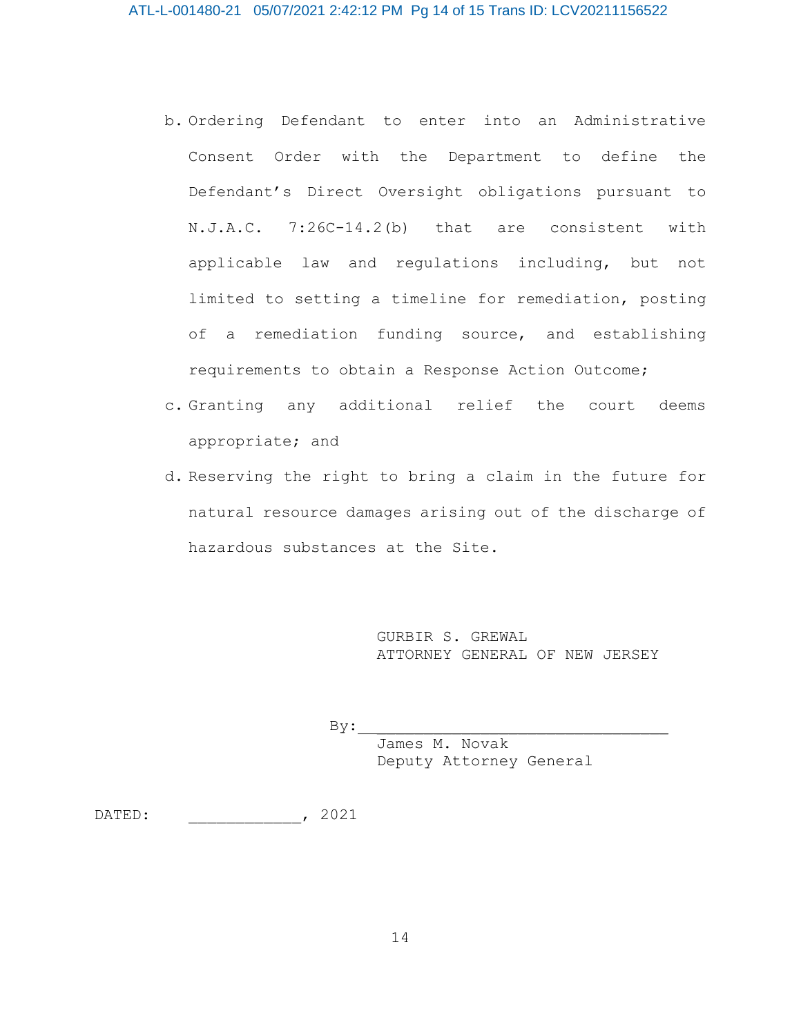- b. Ordering Defendant to enter into an Administrative Consent Order with the Department to define the Defendant's Direct Oversight obligations pursuant to N.J.A.C. 7:26C-14.2(b) that are consistent with applicable law and regulations including, but not limited to setting a timeline for remediation, posting of a remediation funding source, and establishing requirements to obtain a Response Action Outcome;
- c. Granting any additional relief the court deems appropriate; and
- d. Reserving the right to bring a claim in the future for natural resource damages arising out of the discharge of hazardous substances at the Site.

GURBIR S. GREWAL ATTORNEY GENERAL OF NEW JERSEY

 $By:$ 

James M. Novak Deputy Attorney General

DATED: \_\_\_\_\_\_\_\_, 2021